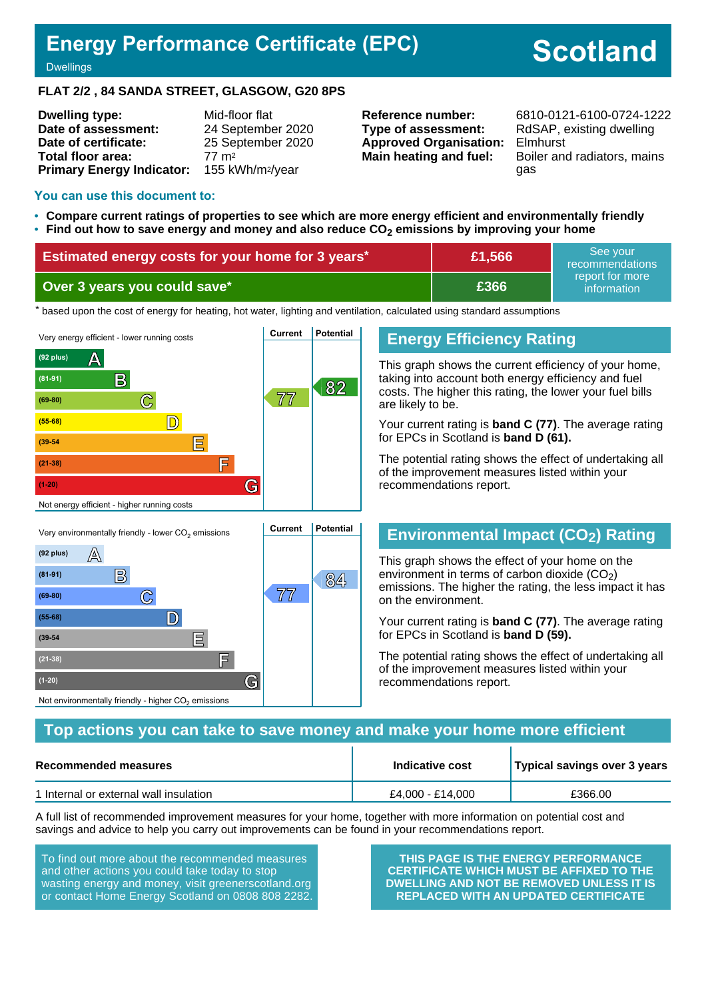# **Energy Performance Certificate (EPC)**

# **Scotland**

#### **Dwellings**

#### **FLAT 2/2 , 84 SANDA STREET, GLASGOW, G20 8PS**

| <b>Dwelling type:</b>            | Mid-floor flat               |
|----------------------------------|------------------------------|
| Date of assessment:              | 24 September 2020            |
| Date of certificate:             | 25 September 2020            |
| Total floor area:                | $77 \, \text{m}^2$           |
| <b>Primary Energy Indicator:</b> | 155 kWh/m <sup>2</sup> /year |

**Type of assessment:** RdSAP, existing dwelling **Approved Organisation:** Elmhurst

**Reference number:** 6810-0121-6100-0724-1222 **Main heating and fuel:** Boiler and radiators, mains gas

#### **You can use this document to:**

- **Compare current ratings of properties to see which are more energy efficient and environmentally friendly**
- **Find out how to save energy and money and also reduce CO2 emissions by improving your home**

| <b>Estimated energy costs for your home for 3 years*</b> | £1,566 | See vour<br>recommendations                  |
|----------------------------------------------------------|--------|----------------------------------------------|
| Over 3 years you could save*                             | £366   | ∟report for more <sup>।</sup><br>information |

the based upon the cost of energy for heating, hot water, lighting and ventilation, calculated using standard assumptions



**B 84 (81-91)**

**(69-80) C 77**

**(55-68) D**

**(39-54 E**

**(21-38) F**

Not environmentally friendly - higher  $\mathrm{CO}_2$  emissions

**(1-20) G**

#### **Energy Efficiency Rating**

This graph shows the current efficiency of your home, taking into account both energy efficiency and fuel costs. The higher this rating, the lower your fuel bills are likely to be.

Your current rating is **band C (77)**. The average rating for EPCs in Scotland is **band D (61).**

The potential rating shows the effect of undertaking all of the improvement measures listed within your recommendations report.

#### **Environmental Impact (CO2) Rating**

This graph shows the effect of your home on the environment in terms of carbon dioxide  $(CO<sub>2</sub>)$ emissions. The higher the rating, the less impact it has on the environment.

Your current rating is **band C (77)**. The average rating for EPCs in Scotland is **band D (59).**

The potential rating shows the effect of undertaking all of the improvement measures listed within your recommendations report.

#### **Top actions you can take to save money and make your home more efficient**

| Recommended measures                   | Indicative cost  | Typical savings over 3 years |  |
|----------------------------------------|------------------|------------------------------|--|
| 1 Internal or external wall insulation | £4.000 - £14.000 | £366.00                      |  |

A full list of recommended improvement measures for your home, together with more information on potential cost and savings and advice to help you carry out improvements can be found in your recommendations report.

To find out more about the recommended measures and other actions you could take today to stop wasting energy and money, visit greenerscotland.org or contact Home Energy Scotland on 0808 808 2282.

**THIS PAGE IS THE ENERGY PERFORMANCE CERTIFICATE WHICH MUST BE AFFIXED TO THE DWELLING AND NOT BE REMOVED UNLESS IT IS REPLACED WITH AN UPDATED CERTIFICATE**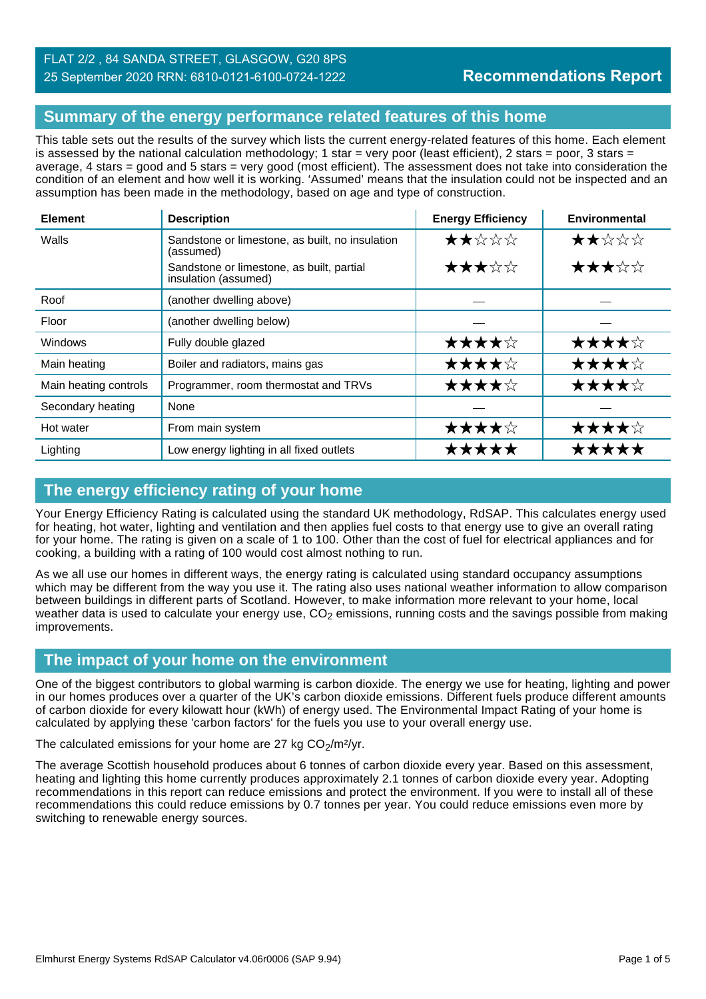#### **Summary of the energy performance related features of this home**

This table sets out the results of the survey which lists the current energy-related features of this home. Each element is assessed by the national calculation methodology; 1 star = very poor (least efficient), 2 stars = poor, 3 stars = average, 4 stars = good and 5 stars = very good (most efficient). The assessment does not take into consideration the condition of an element and how well it is working. 'Assumed' means that the insulation could not be inspected and an assumption has been made in the methodology, based on age and type of construction.

| <b>Element</b>        | <b>Description</b>                                                | <b>Energy Efficiency</b> | <b>Environmental</b> |
|-----------------------|-------------------------------------------------------------------|--------------------------|----------------------|
| Walls                 | Sandstone or limestone, as built, no insulation<br>(assumed)      | ★★☆☆☆                    | ★★☆☆☆                |
|                       | Sandstone or limestone, as built, partial<br>insulation (assumed) | ★★★☆☆                    | ★★★☆☆                |
| Roof                  | (another dwelling above)                                          |                          |                      |
| Floor                 | (another dwelling below)                                          |                          |                      |
| Windows               | Fully double glazed                                               | ★★★★☆                    | ★★★★☆                |
| Main heating          | Boiler and radiators, mains gas                                   | ★★★★☆                    | ★★★★☆                |
| Main heating controls | Programmer, room thermostat and TRVs                              | ★★★★☆                    | ★★★★☆                |
| Secondary heating     | None                                                              |                          |                      |
| Hot water             | From main system                                                  | ★★★★☆                    | ★★★★☆                |
| Lighting              | Low energy lighting in all fixed outlets                          | *****                    | *****                |

### **The energy efficiency rating of your home**

Your Energy Efficiency Rating is calculated using the standard UK methodology, RdSAP. This calculates energy used for heating, hot water, lighting and ventilation and then applies fuel costs to that energy use to give an overall rating for your home. The rating is given on a scale of 1 to 100. Other than the cost of fuel for electrical appliances and for cooking, a building with a rating of 100 would cost almost nothing to run.

As we all use our homes in different ways, the energy rating is calculated using standard occupancy assumptions which may be different from the way you use it. The rating also uses national weather information to allow comparison between buildings in different parts of Scotland. However, to make information more relevant to your home, local weather data is used to calculate your energy use,  $CO<sub>2</sub>$  emissions, running costs and the savings possible from making improvements.

#### **The impact of your home on the environment**

One of the biggest contributors to global warming is carbon dioxide. The energy we use for heating, lighting and power in our homes produces over a quarter of the UK's carbon dioxide emissions. Different fuels produce different amounts of carbon dioxide for every kilowatt hour (kWh) of energy used. The Environmental Impact Rating of your home is calculated by applying these 'carbon factors' for the fuels you use to your overall energy use.

The calculated emissions for your home are 27 kg  $CO<sub>2</sub>/m<sup>2</sup>/yr$ .

The average Scottish household produces about 6 tonnes of carbon dioxide every year. Based on this assessment, heating and lighting this home currently produces approximately 2.1 tonnes of carbon dioxide every year. Adopting recommendations in this report can reduce emissions and protect the environment. If you were to install all of these recommendations this could reduce emissions by 0.7 tonnes per year. You could reduce emissions even more by switching to renewable energy sources.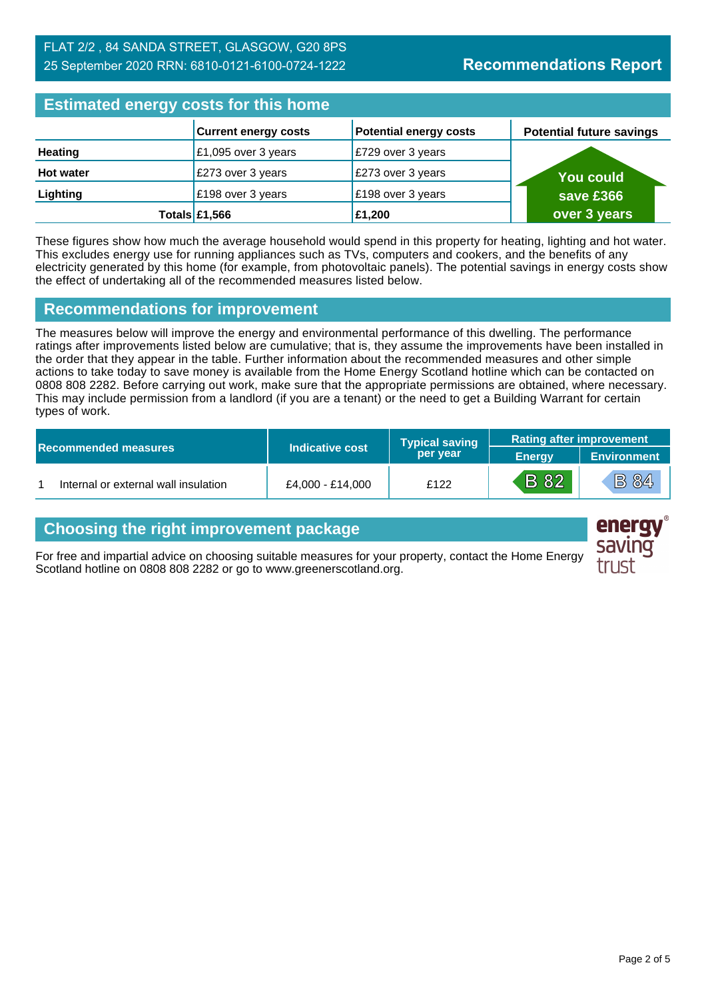#### FLAT 2/2 , 84 SANDA STREET, GLASGOW, G20 8PS 25 September 2020 RRN: 6810-0121-6100-0724-1222

# **Estimated energy costs for this home**

| Editional and all and the time hand |                             |                               |                                 |
|-------------------------------------|-----------------------------|-------------------------------|---------------------------------|
|                                     | <b>Current energy costs</b> | <b>Potential energy costs</b> | <b>Potential future savings</b> |
| <b>Heating</b>                      | £1,095 over 3 years         | E729 over 3 years             |                                 |
| <b>Hot water</b>                    | £273 over 3 years           | £273 over 3 years             | <b>You could</b>                |
| Lighting                            | £198 over 3 years           | £198 over 3 years             | save £366                       |
|                                     | Totals $£1,566$             | £1,200                        | over 3 years                    |

These figures show how much the average household would spend in this property for heating, lighting and hot water. This excludes energy use for running appliances such as TVs, computers and cookers, and the benefits of any electricity generated by this home (for example, from photovoltaic panels). The potential savings in energy costs show the effect of undertaking all of the recommended measures listed below.

#### **Recommendations for improvement**

The measures below will improve the energy and environmental performance of this dwelling. The performance ratings after improvements listed below are cumulative; that is, they assume the improvements have been installed in the order that they appear in the table. Further information about the recommended measures and other simple actions to take today to save money is available from the Home Energy Scotland hotline which can be contacted on 0808 808 2282. Before carrying out work, make sure that the appropriate permissions are obtained, where necessary. This may include permission from a landlord (if you are a tenant) or the need to get a Building Warrant for certain types of work.

|  |                                      |                  | <b>Typical saving</b> | <b>Rating after improvement</b> |                    |
|--|--------------------------------------|------------------|-----------------------|---------------------------------|--------------------|
|  | <b>Recommended measures</b>          | Indicative cost  | per year              | <b>Energy</b>                   | <b>Environment</b> |
|  | Internal or external wall insulation | £4.000 - £14.000 | £122                  | <b>B</b> 82                     | <b>B 84</b>        |

# **Choosing the right improvement package**

For free and impartial advice on choosing suitable measures for your property, contact the Home Energy Scotland hotline on 0808 808 2282 or go to www.greenerscotland.org.



energy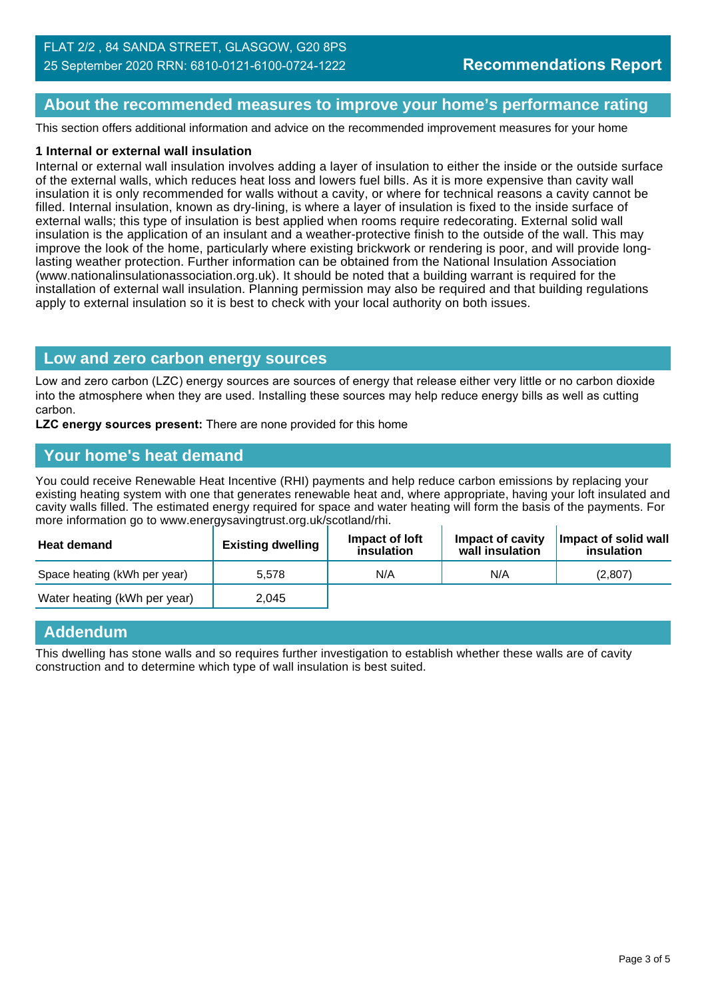#### **About the recommended measures to improve your home's performance rating**

This section offers additional information and advice on the recommended improvement measures for your home

#### **1 Internal or external wall insulation**

Internal or external wall insulation involves adding a layer of insulation to either the inside or the outside surface of the external walls, which reduces heat loss and lowers fuel bills. As it is more expensive than cavity wall insulation it is only recommended for walls without a cavity, or where for technical reasons a cavity cannot be filled. Internal insulation, known as dry-lining, is where a layer of insulation is fixed to the inside surface of external walls; this type of insulation is best applied when rooms require redecorating. External solid wall insulation is the application of an insulant and a weather-protective finish to the outside of the wall. This may improve the look of the home, particularly where existing brickwork or rendering is poor, and will provide longlasting weather protection. Further information can be obtained from the National Insulation Association (www.nationalinsulationassociation.org.uk). It should be noted that a building warrant is required for the installation of external wall insulation. Planning permission may also be required and that building regulations apply to external insulation so it is best to check with your local authority on both issues.

#### **Low and zero carbon energy sources**

Low and zero carbon (LZC) energy sources are sources of energy that release either very little or no carbon dioxide into the atmosphere when they are used. Installing these sources may help reduce energy bills as well as cutting carbon.

**LZC energy sources present:** There are none provided for this home

#### **Your home's heat demand**

You could receive Renewable Heat Incentive (RHI) payments and help reduce carbon emissions by replacing your existing heating system with one that generates renewable heat and, where appropriate, having your loft insulated and cavity walls filled. The estimated energy required for space and water heating will form the basis of the payments. For more information go to www.energysavingtrust.org.uk/scotland/rhi.

| <b>Heat demand</b>           | <b>Existing dwelling</b> | Impact of Joft<br>insulation | Impact of cavity<br>wall insulation | Impact of solid wall<br>insulation |
|------------------------------|--------------------------|------------------------------|-------------------------------------|------------------------------------|
| Space heating (kWh per year) | 5.578                    | N/A                          | N/A                                 | (2.807)                            |
| Water heating (kWh per year) | 2.045                    |                              |                                     |                                    |

#### **Addendum**

This dwelling has stone walls and so requires further investigation to establish whether these walls are of cavity construction and to determine which type of wall insulation is best suited.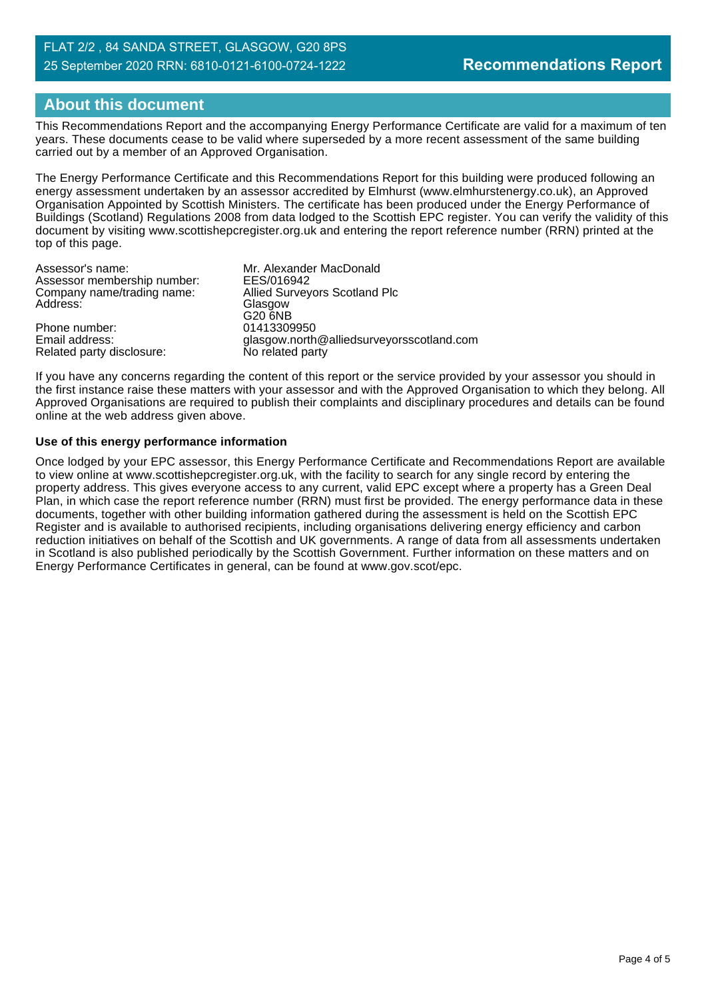# **About this document**

This Recommendations Report and the accompanying Energy Performance Certificate are valid for a maximum of ten years. These documents cease to be valid where superseded by a more recent assessment of the same building carried out by a member of an Approved Organisation.

The Energy Performance Certificate and this Recommendations Report for this building were produced following an energy assessment undertaken by an assessor accredited by Elmhurst (www.elmhurstenergy.co.uk), an Approved Organisation Appointed by Scottish Ministers. The certificate has been produced under the Energy Performance of Buildings (Scotland) Regulations 2008 from data lodged to the Scottish EPC register. You can verify the validity of this document by visiting www.scottishepcregister.org.uk and entering the report reference number (RRN) printed at the top of this page.

| Mr. Alexander MacDonald                   |
|-------------------------------------------|
| EES/016942                                |
| <b>Allied Surveyors Scotland Plc</b>      |
| Glasgow                                   |
| G20 6NB                                   |
| 01413309950                               |
| glasgow.north@alliedsurveyorsscotland.com |
| No related party                          |
|                                           |

If you have any concerns regarding the content of this report or the service provided by your assessor you should in the first instance raise these matters with your assessor and with the Approved Organisation to which they belong. All Approved Organisations are required to publish their complaints and disciplinary procedures and details can be found online at the web address given above.

#### **Use of this energy performance information**

Once lodged by your EPC assessor, this Energy Performance Certificate and Recommendations Report are available to view online at www.scottishepcregister.org.uk, with the facility to search for any single record by entering the property address. This gives everyone access to any current, valid EPC except where a property has a Green Deal Plan, in which case the report reference number (RRN) must first be provided. The energy performance data in these documents, together with other building information gathered during the assessment is held on the Scottish EPC Register and is available to authorised recipients, including organisations delivering energy efficiency and carbon reduction initiatives on behalf of the Scottish and UK governments. A range of data from all assessments undertaken in Scotland is also published periodically by the Scottish Government. Further information on these matters and on Energy Performance Certificates in general, can be found at www.gov.scot/epc.